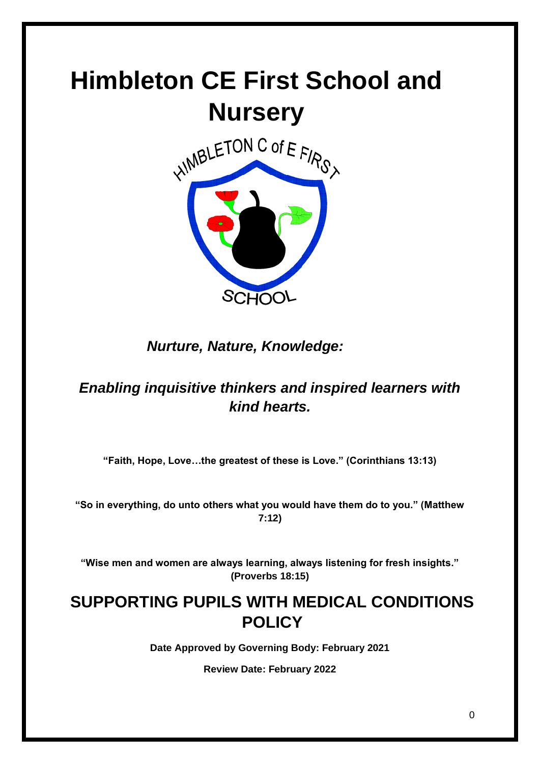# **Himbleton CE First School and Nursery**



*Nurture, Nature, Knowledge:*

## *Enabling inquisitive thinkers and inspired learners with kind hearts.*

**"Faith, Hope, Love…the greatest of these is Love." (Corinthians 13:13)**

**"So in everything, do unto others what you would have them do to you." (Matthew 7:12)**

**"Wise men and women are always learning, always listening for fresh insights." (Proverbs 18:15)**

# **SUPPORTING PUPILS WITH MEDICAL CONDITIONS POLICY**

**Date Approved by Governing Body: February 2021**

**Review Date: February 2022**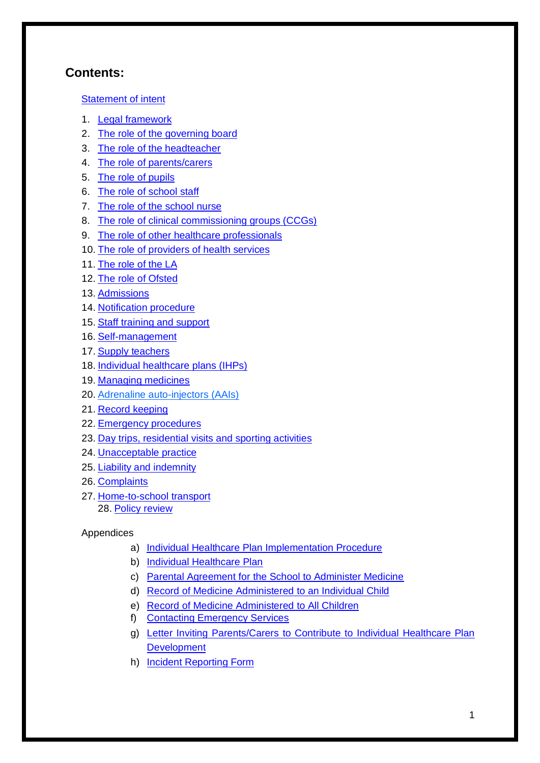## **Contents:**

#### [Statement of intent](#page-1-0)

- 1. Legal [framework](#page-2-0)
- 2. [The role of the governing board](#page-3-0)
- 3. [The role of the headteacher](#page-4-0)
- 4. [The role of parents/carers](#page-4-1)
- 5. [The role of pupils](#page-4-2)
- 6. [The role of school staff](#page-5-0)
- 7. [The role of the school nurse](#page-5-1)
- 8. [The role of clinical commissioning groups \(CCGs\)](#page-5-2)
- 9. [The role of other healthcare professionals](#page-5-3)
- 10. [The role of providers of health services](#page-6-0)
- 11. [The role of the LA](#page-6-1)
- 12. [The role of Ofsted](#page-6-2)
- 13. [Admissions](#page-6-3)
- 14. [Notification procedure](#page-6-4)
- 15. [Staff training and support](#page-7-0)
- 16. [Self-management](#page-8-0)
- 17. [Supply teachers](#page-8-1)
- 18. [Individual healthcare](#page-8-2) plans (IHPs)
- 19. [Managing medicines](#page-9-0)
- 20. [Adrenaline auto-injectors](#page-10-0) (AAIs)
- 21. [Record keeping](#page-11-0)
- 22. [Emergency procedures](#page-11-1)
- 23. [Day trips, residential visits and sporting activities](#page-11-2)
- 24. [Unacceptable practice](#page-12-0)
- 25. [Liability and indemnity](#page-12-1)
- 26. [Complaints](#page-12-2)
- 27. [Home-to-school transport](#page-13-0) 28. [Policy review](#page-13-1)

#### Appendices

- a) [Individual Healthcare Plan Implementation Procedure](#page-15-0)
- b) [Individual Healthcare Plan](#page-16-0)
- c) Parental Agreement for the [School to Administer Medicine](#page-19-0)
- d) [Record of Medicine Administered to an Individual Child](#page-20-0)
- e) [Record of Medicine Administered to All Children](#page-22-0)
- f) [Contacting Emergency Services](#page-23-0)
- g) Letter Inviting Parents/Carers [to Contribute to Individual Healthcare Plan](#page-24-0)  **[Development](#page-24-0)**
- <span id="page-1-0"></span>h) [Incident Reporting Form](#page-25-0)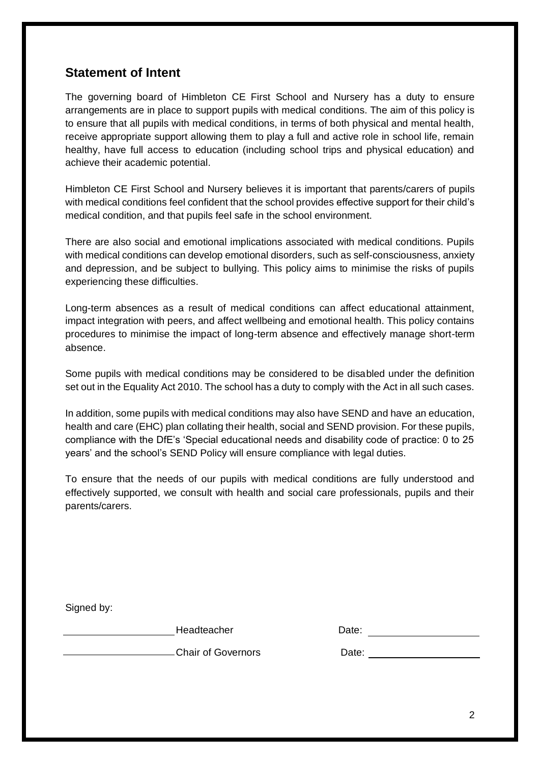## **Statement of Intent**

The governing board of Himbleton CE First School and Nursery has a duty to ensure arrangements are in place to support pupils with medical conditions. The aim of this policy is to ensure that all pupils with medical conditions, in terms of both physical and mental health, receive appropriate support allowing them to play a full and active role in school life, remain healthy, have full access to education (including school trips and physical education) and achieve their academic potential.

Himbleton CE First School and Nursery believes it is important that parents/carers of pupils with medical conditions feel confident that the school provides effective support for their child's medical condition, and that pupils feel safe in the school environment.

There are also social and emotional implications associated with medical conditions. Pupils with medical conditions can develop emotional disorders, such as self-consciousness, anxiety and depression, and be subject to bullying. This policy aims to minimise the risks of pupils experiencing these difficulties.

Long-term absences as a result of medical conditions can affect educational attainment, impact integration with peers, and affect wellbeing and emotional health. This policy contains procedures to minimise the impact of long-term absence and effectively manage short-term absence.

Some pupils with medical conditions may be considered to be disabled under the definition set out in the Equality Act 2010. The school has a duty to comply with the Act in all such cases.

In addition, some pupils with medical conditions may also have SEND and have an education, health and care (EHC) plan collating their health, social and SEND provision. For these pupils, compliance with the DfE's 'Special educational needs and disability code of practice: 0 to 25 years' and the school's SEND Policy will ensure compliance with legal duties.

To ensure that the needs of our pupils with medical conditions are fully understood and effectively supported, we consult with health and social care professionals, pupils and their parents/carers.

<span id="page-2-0"></span>

Headteacher **Date:** Date:

Chair of Governors Date: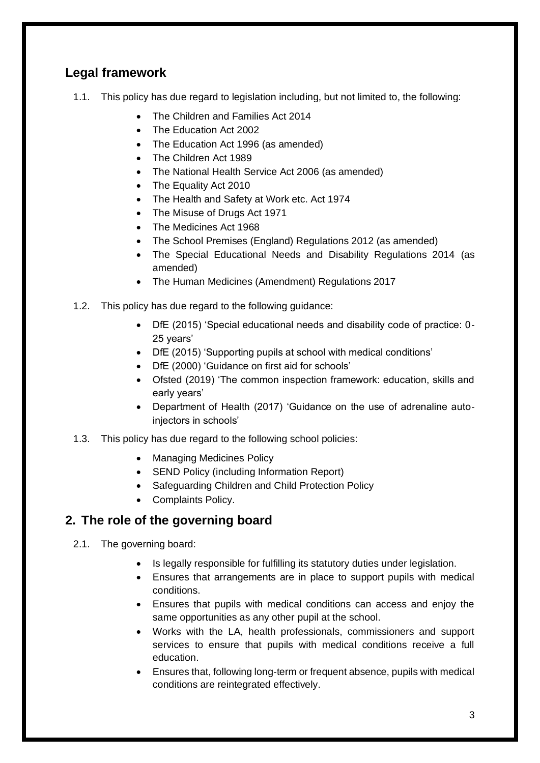## **Legal framework**

- 1.1. This policy has due regard to legislation including, but not limited to, the following:
	- The Children and Families Act 2014
	- The Education Act 2002
	- The Education Act 1996 (as amended)
	- The Children Act 1989
	- The National Health Service Act 2006 (as amended)
	- The Equality Act 2010
	- The Health and Safety at Work etc. Act 1974
	- The Misuse of Drugs Act 1971
	- The Medicines Act 1968
	- The School Premises (England) Regulations 2012 (as amended)
	- The Special Educational Needs and Disability Regulations 2014 (as amended)
	- The Human Medicines (Amendment) Regulations 2017
- 1.2. This policy has due regard to the following guidance:
	- DfE (2015) 'Special educational needs and disability code of practice: 0- 25 years'
	- DfE (2015) 'Supporting pupils at school with medical conditions'
	- DfE (2000) 'Guidance on first aid for schools'
	- Ofsted (2019) 'The common inspection framework: education, skills and early years'
	- Department of Health (2017) 'Guidance on the use of adrenaline autoinjectors in schools'
- 1.3. This policy has due regard to the following school policies:
	- Managing Medicines Policy
	- SEND Policy (including Information Report)
	- Safeguarding Children and Child Protection Policy
	- Complaints Policy.

## <span id="page-3-0"></span>**2. The role of the governing board**

- 2.1. The governing board:
	- Is legally responsible for fulfilling its statutory duties under legislation.
	- Ensures that arrangements are in place to support pupils with medical conditions.
	- Ensures that pupils with medical conditions can access and enjoy the same opportunities as any other pupil at the school.
	- Works with the LA, health professionals, commissioners and support services to ensure that pupils with medical conditions receive a full education.
	- Ensures that, following long-term or frequent absence, pupils with medical conditions are reintegrated effectively.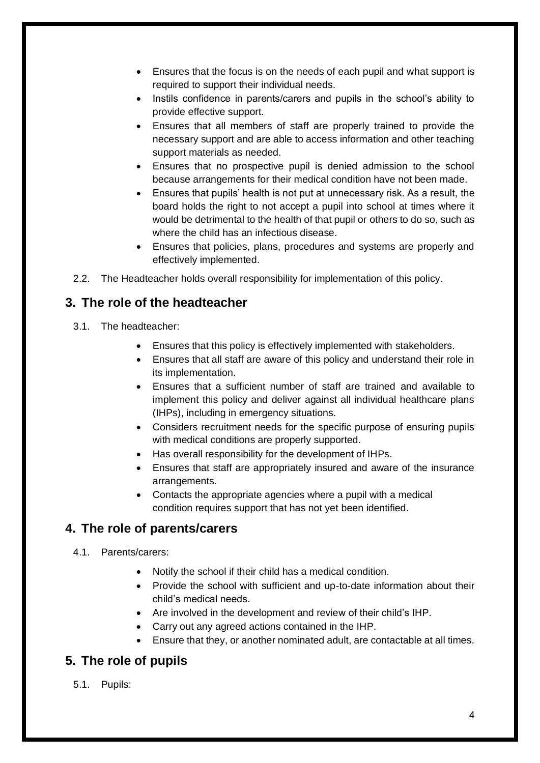- Ensures that the focus is on the needs of each pupil and what support is required to support their individual needs.
- Instils confidence in parents/carers and pupils in the school's ability to provide effective support.
- Ensures that all members of staff are properly trained to provide the necessary support and are able to access information and other teaching support materials as needed.
- Ensures that no prospective pupil is denied admission to the school because arrangements for their medical condition have not been made.
- Ensures that pupils' health is not put at unnecessary risk. As a result, the board holds the right to not accept a pupil into school at times where it would be detrimental to the health of that pupil or others to do so, such as where the child has an infectious disease.
- Ensures that policies, plans, procedures and systems are properly and effectively implemented.
- 2.2. The Headteacher holds overall responsibility for implementation of this policy.

## <span id="page-4-0"></span>**3. The role of the headteacher**

- 3.1. The headteacher:
	- Ensures that this policy is effectively implemented with stakeholders.
	- Ensures that all staff are aware of this policy and understand their role in its implementation.
	- Ensures that a sufficient number of staff are trained and available to implement this policy and deliver against all individual healthcare plans (IHPs), including in emergency situations.
	- Considers recruitment needs for the specific purpose of ensuring pupils with medical conditions are properly supported.
	- Has overall responsibility for the development of IHPs.
	- Ensures that staff are appropriately insured and aware of the insurance arrangements.
	- Contacts the appropriate agencies where a pupil with a medical condition requires support that has not yet been identified.

## <span id="page-4-1"></span>**4. The role of parents/carers**

- 4.1. Parents/carers:
	- Notify the school if their child has a medical condition.
	- Provide the school with sufficient and up-to-date information about their child's medical needs.
	- Are involved in the development and review of their child's IHP.
	- Carry out any agreed actions contained in the IHP.
	- Ensure that they, or another nominated adult, are contactable at all times.

## <span id="page-4-2"></span>**5. The role of pupils**

5.1. Pupils: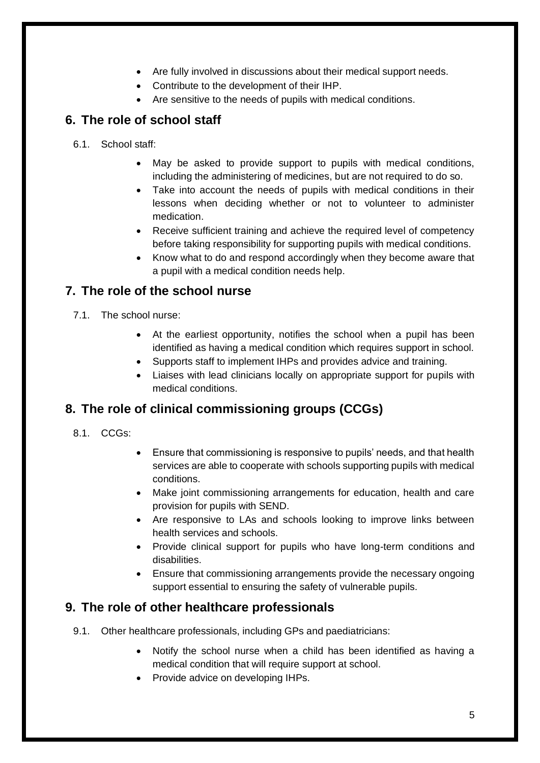- Are fully involved in discussions about their medical support needs.
- Contribute to the development of their IHP.
- Are sensitive to the needs of pupils with medical conditions.

## <span id="page-5-0"></span>**6. The role of school staff**

- 6.1. School staff:
	- May be asked to provide support to pupils with medical conditions, including the administering of medicines, but are not required to do so.
	- Take into account the needs of pupils with medical conditions in their lessons when deciding whether or not to volunteer to administer medication.
	- Receive sufficient training and achieve the required level of competency before taking responsibility for supporting pupils with medical conditions.
	- Know what to do and respond accordingly when they become aware that a pupil with a medical condition needs help.

## <span id="page-5-1"></span>**7. The role of the school nurse**

- 7.1. The school nurse:
	- At the earliest opportunity, notifies the school when a pupil has been identified as having a medical condition which requires support in school.
	- Supports staff to implement IHPs and provides advice and training.
	- Liaises with lead clinicians locally on appropriate support for pupils with medical conditions.

## <span id="page-5-2"></span>**8. The role of clinical commissioning groups (CCGs)**

- 8.1. CCGs:
- Ensure that commissioning is responsive to pupils' needs, and that health services are able to cooperate with schools supporting pupils with medical conditions.
- Make joint commissioning arrangements for education, health and care provision for pupils with SEND.
- Are responsive to LAs and schools looking to improve links between health services and schools.
- Provide clinical support for pupils who have long-term conditions and disabilities.
- Ensure that commissioning arrangements provide the necessary ongoing support essential to ensuring the safety of vulnerable pupils.

## <span id="page-5-3"></span>**9. The role of other healthcare professionals**

- 9.1. Other healthcare professionals, including GPs and paediatricians:
	- Notify the school nurse when a child has been identified as having a medical condition that will require support at school.
	- Provide advice on developing IHPs.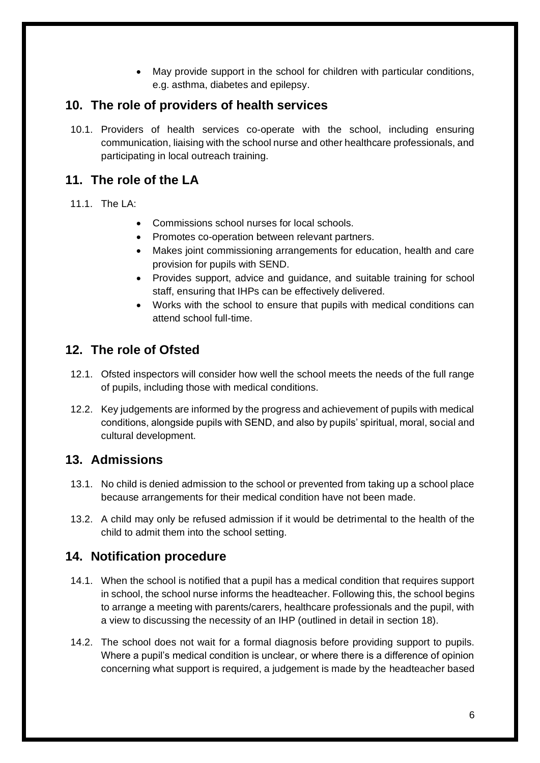• May provide support in the school for children with particular conditions, e.g. asthma, diabetes and epilepsy.

## <span id="page-6-0"></span>**10. The role of providers of health services**

10.1. Providers of health services co-operate with the school, including ensuring communication, liaising with the school nurse and other healthcare professionals, and participating in local outreach training.

## <span id="page-6-1"></span>**11. The role of the LA**

#### 11.1. The LA:

- Commissions school nurses for local schools.
- Promotes co-operation between relevant partners.
- Makes joint commissioning arrangements for education, health and care provision for pupils with SEND.
- Provides support, advice and guidance, and suitable training for school staff, ensuring that IHPs can be effectively delivered.
- Works with the school to ensure that pupils with medical conditions can attend school full-time.

## <span id="page-6-2"></span>**12. The role of Ofsted**

- 12.1. Ofsted inspectors will consider how well the school meets the needs of the full range of pupils, including those with medical conditions.
- 12.2. Key judgements are informed by the progress and achievement of pupils with medical conditions, alongside pupils with SEND, and also by pupils' spiritual, moral, social and cultural development.

## <span id="page-6-3"></span>**13. Admissions**

- 13.1. No child is denied admission to the school or prevented from taking up a school place because arrangements for their medical condition have not been made.
- 13.2. A child may only be refused admission if it would be detrimental to the health of the child to admit them into the school setting.

## <span id="page-6-4"></span>**14. Notification procedure**

- 14.1. When the school is notified that a pupil has a medical condition that requires support in school, the school nurse informs the headteacher. Following this, the school begins to arrange a meeting with parents/carers, healthcare professionals and the pupil, with a view to discussing the necessity of an IHP (outlined in detail in [section 18\)](#page-8-2).
- 14.2. The school does not wait for a formal diagnosis before providing support to pupils. Where a pupil's medical condition is unclear, or where there is a difference of opinion concerning what support is required, a judgement is made by the headteacher based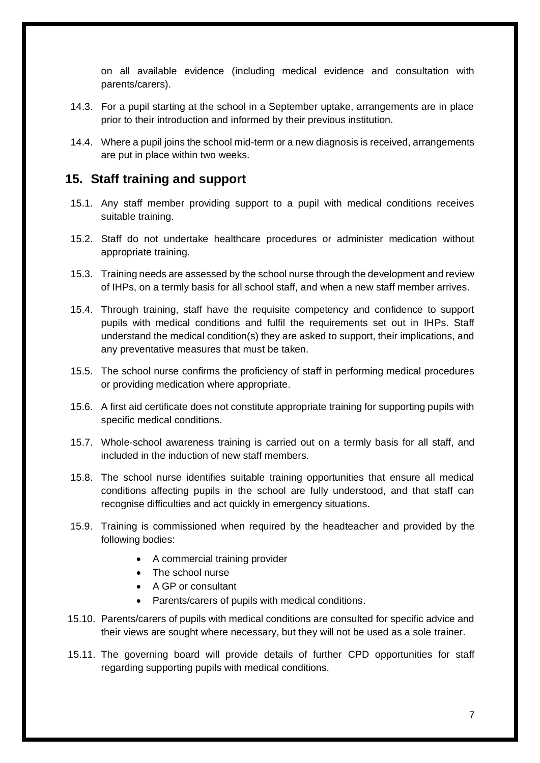on all available evidence (including medical evidence and consultation with parents/carers).

- 14.3. For a pupil starting at the school in a September uptake, arrangements are in place prior to their introduction and informed by their previous institution.
- 14.4. Where a pupil joins the school mid-term or a new diagnosis is received, arrangements are put in place within two weeks.

#### <span id="page-7-0"></span>**15. Staff training and support**

- 15.1. Any staff member providing support to a pupil with medical conditions receives suitable training.
- 15.2. Staff do not undertake healthcare procedures or administer medication without appropriate training.
- 15.3. Training needs are assessed by the school nurse through the development and review of IHPs, on a termly basis for all school staff, and when a new staff member arrives.
- 15.4. Through training, staff have the requisite competency and confidence to support pupils with medical conditions and fulfil the requirements set out in IHPs. Staff understand the medical condition(s) they are asked to support, their implications, and any preventative measures that must be taken.
- 15.5. The school nurse confirms the proficiency of staff in performing medical procedures or providing medication where appropriate.
- 15.6. A first aid certificate does not constitute appropriate training for supporting pupils with specific medical conditions.
- 15.7. Whole-school awareness training is carried out on a termly basis for all staff, and included in the induction of new staff members.
- 15.8. The school nurse identifies suitable training opportunities that ensure all medical conditions affecting pupils in the school are fully understood, and that staff can recognise difficulties and act quickly in emergency situations.
- 15.9. Training is commissioned when required by the headteacher and provided by the following bodies:
	- A commercial training provider
	- The school nurse
	- A GP or consultant
	- Parents/carers of pupils with medical conditions.
- 15.10. Parents/carers of pupils with medical conditions are consulted for specific advice and their views are sought where necessary, but they will not be used as a sole trainer.
- 15.11. The governing board will provide details of further CPD opportunities for staff regarding supporting pupils with medical conditions.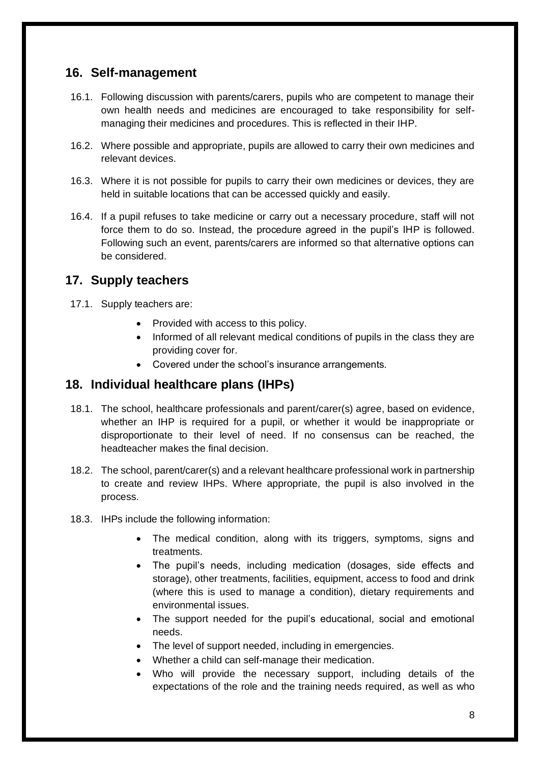## <span id="page-8-0"></span>**16. Self-management**

- 16.1. Following discussion with parents/carers, pupils who are competent to manage their own health needs and medicines are encouraged to take responsibility for selfmanaging their medicines and procedures. This is reflected in their IHP.
- 16.2. Where possible and appropriate, pupils are allowed to carry their own medicines and relevant devices.
- 16.3. Where it is not possible for pupils to carry their own medicines or devices, they are held in suitable locations that can be accessed quickly and easily.
- 16.4. If a pupil refuses to take medicine or carry out a necessary procedure, staff will not force them to do so. Instead, the procedure agreed in the pupil's IHP is followed. Following such an event, parents/carers are informed so that alternative options can be considered.

## <span id="page-8-1"></span>**17. Supply teachers**

- 17.1. Supply teachers are:
	- Provided with access to this policy.
	- Informed of all relevant medical conditions of pupils in the class they are providing cover for.
	- Covered under the school's insurance arrangements.

## <span id="page-8-2"></span>**18. Individual healthcare plans (IHPs)**

- 18.1. The school, healthcare professionals and parent/carer(s) agree, based on evidence, whether an IHP is required for a pupil, or whether it would be inappropriate or disproportionate to their level of need. If no consensus can be reached, the headteacher makes the final decision.
- 18.2. The school, parent/carer(s) and a relevant healthcare professional work in partnership to create and review IHPs. Where appropriate, the pupil is also involved in the process.
- 18.3. IHPs include the following information:
	- The medical condition, along with its triggers, symptoms, signs and treatments.
	- The pupil's needs, including medication (dosages, side effects and storage), other treatments, facilities, equipment, access to food and drink (where this is used to manage a condition), dietary requirements and environmental issues.
	- The support needed for the pupil's educational, social and emotional needs.
	- The level of support needed, including in emergencies.
	- Whether a child can self-manage their medication.
	- Who will provide the necessary support, including details of the expectations of the role and the training needs required, as well as who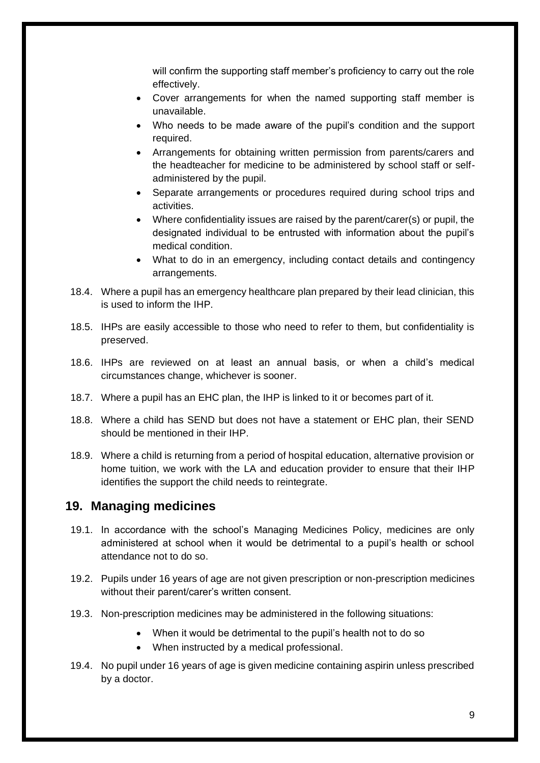will confirm the supporting staff member's proficiency to carry out the role effectively.

- Cover arrangements for when the named supporting staff member is unavailable.
- Who needs to be made aware of the pupil's condition and the support required.
- Arrangements for obtaining written permission from parents/carers and the headteacher for medicine to be administered by school staff or selfadministered by the pupil.
- Separate arrangements or procedures required during school trips and activities.
- Where confidentiality issues are raised by the parent/carer(s) or pupil, the designated individual to be entrusted with information about the pupil's medical condition.
- What to do in an emergency, including contact details and contingency arrangements.
- 18.4. Where a pupil has an emergency healthcare plan prepared by their lead clinician, this is used to inform the IHP.
- 18.5. IHPs are easily accessible to those who need to refer to them, but confidentiality is preserved.
- 18.6. IHPs are reviewed on at least an annual basis, or when a child's medical circumstances change, whichever is sooner.
- 18.7. Where a pupil has an EHC plan, the IHP is linked to it or becomes part of it.
- 18.8. Where a child has SEND but does not have a statement or EHC plan, their SEND should be mentioned in their IHP.
- 18.9. Where a child is returning from a period of hospital education, alternative provision or home tuition, we work with the LA and education provider to ensure that their IHP identifies the support the child needs to reintegrate.

#### <span id="page-9-0"></span>**19. Managing medicines**

- 19.1. In accordance with the school's Managing Medicines Policy, medicines are only administered at school when it would be detrimental to a pupil's health or school attendance not to do so.
- 19.2. Pupils under 16 years of age are not given prescription or non-prescription medicines without their parent/carer's written consent.
- 19.3. Non-prescription medicines may be administered in the following situations:
	- When it would be detrimental to the pupil's health not to do so
	- When instructed by a medical professional.
- 19.4. No pupil under 16 years of age is given medicine containing aspirin unless prescribed by a doctor.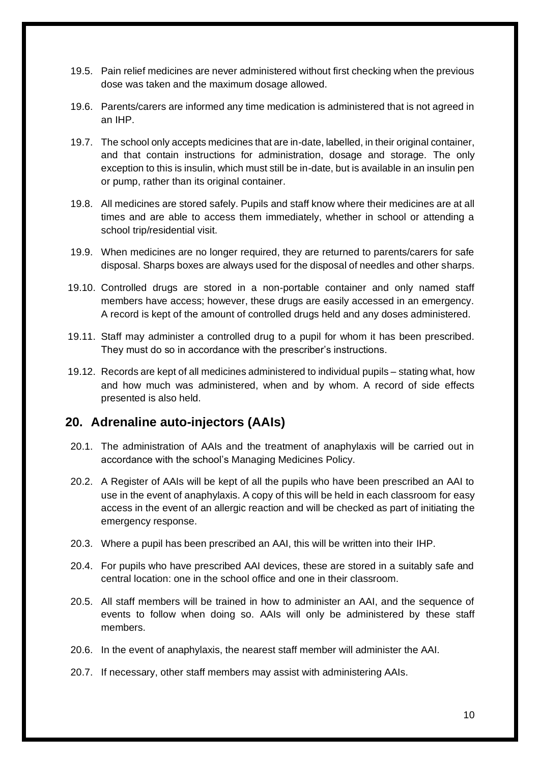- 19.5. Pain relief medicines are never administered without first checking when the previous dose was taken and the maximum dosage allowed.
- 19.6. Parents/carers are informed any time medication is administered that is not agreed in an IHP.
- 19.7. The school only accepts medicines that are in-date, labelled, in their original container, and that contain instructions for administration, dosage and storage. The only exception to this is insulin, which must still be in-date, but is available in an insulin pen or pump, rather than its original container.
- 19.8. All medicines are stored safely. Pupils and staff know where their medicines are at all times and are able to access them immediately, whether in school or attending a school trip/residential visit.
- 19.9. When medicines are no longer required, they are returned to parents/carers for safe disposal. Sharps boxes are always used for the disposal of needles and other sharps.
- 19.10. Controlled drugs are stored in a non-portable container and only named staff members have access; however, these drugs are easily accessed in an emergency. A record is kept of the amount of controlled drugs held and any doses administered.
- 19.11. Staff may administer a controlled drug to a pupil for whom it has been prescribed. They must do so in accordance with the prescriber's instructions.
- 19.12. Records are kept of all medicines administered to individual pupils stating what, how and how much was administered, when and by whom. A record of side effects presented is also held.

#### <span id="page-10-0"></span>**20. Adrenaline auto-injectors (AAIs)**

- 20.1. The administration of AAIs and the treatment of anaphylaxis will be carried out in accordance with the school's Managing Medicines Policy.
- 20.2. A Register of AAIs will be kept of all the pupils who have been prescribed an AAI to use in the event of anaphylaxis. A copy of this will be held in each classroom for easy access in the event of an allergic reaction and will be checked as part of initiating the emergency response.
- 20.3. Where a pupil has been prescribed an AAI, this will be written into their IHP.
- 20.4. For pupils who have prescribed AAI devices, these are stored in a suitably safe and central location: one in the school office and one in their classroom.
- 20.5. All staff members will be trained in how to administer an AAI, and the sequence of events to follow when doing so. AAIs will only be administered by these staff members.
- 20.6. In the event of anaphylaxis, the nearest staff member will administer the AAI.
- 20.7. If necessary, other staff members may assist with administering AAIs.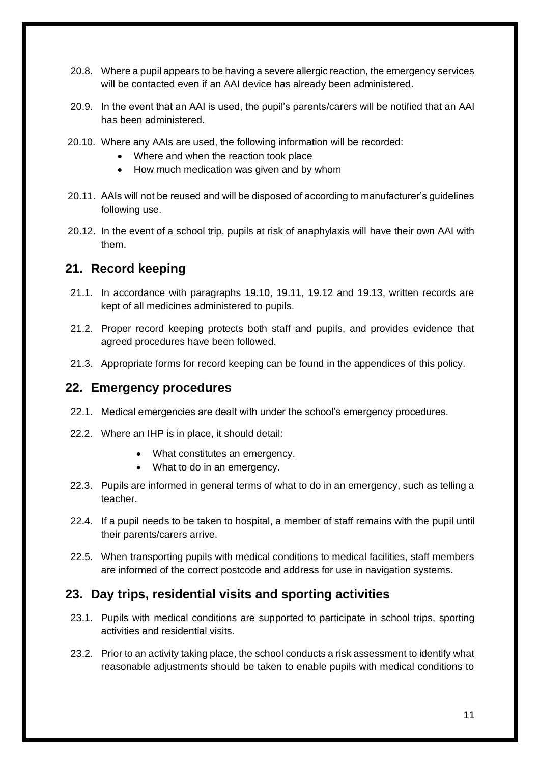- 20.8. Where a pupil appears to be having a severe allergic reaction, the emergency services will be contacted even if an AAI device has already been administered.
- 20.9. In the event that an AAI is used, the pupil's parents/carers will be notified that an AAI has been administered.
- 20.10. Where any AAIs are used, the following information will be recorded:
	- Where and when the reaction took place
	- How much medication was given and by whom
- 20.11. AAIs will not be reused and will be disposed of according to manufacturer's guidelines following use.
- 20.12. In the event of a school trip, pupils at risk of anaphylaxis will have their own AAI with them.

#### <span id="page-11-0"></span>**21. Record keeping**

- 21.1. In accordance with paragraphs 19.10, 19.11, 19.12 and 19.13, written records are kept of all medicines administered to pupils.
- 21.2. Proper record keeping protects both staff and pupils, and provides evidence that agreed procedures have been followed.
- 21.3. Appropriate forms for record keeping can be found in the appendices of this policy.

#### <span id="page-11-1"></span>**22. Emergency procedures**

- 22.1. Medical emergencies are dealt with under the school's emergency procedures.
- 22.2. Where an IHP is in place, it should detail:
	- What constitutes an emergency.
	- What to do in an emergency.
- 22.3. Pupils are informed in general terms of what to do in an emergency, such as telling a teacher.
- 22.4. If a pupil needs to be taken to hospital, a member of staff remains with the pupil until their parents/carers arrive.
- 22.5. When transporting pupils with medical conditions to medical facilities, staff members are informed of the correct postcode and address for use in navigation systems.

#### <span id="page-11-2"></span>**23. Day trips, residential visits and sporting activities**

- 23.1. Pupils with medical conditions are supported to participate in school trips, sporting activities and residential visits.
- 23.2. Prior to an activity taking place, the school conducts a risk assessment to identify what reasonable adjustments should be taken to enable pupils with medical conditions to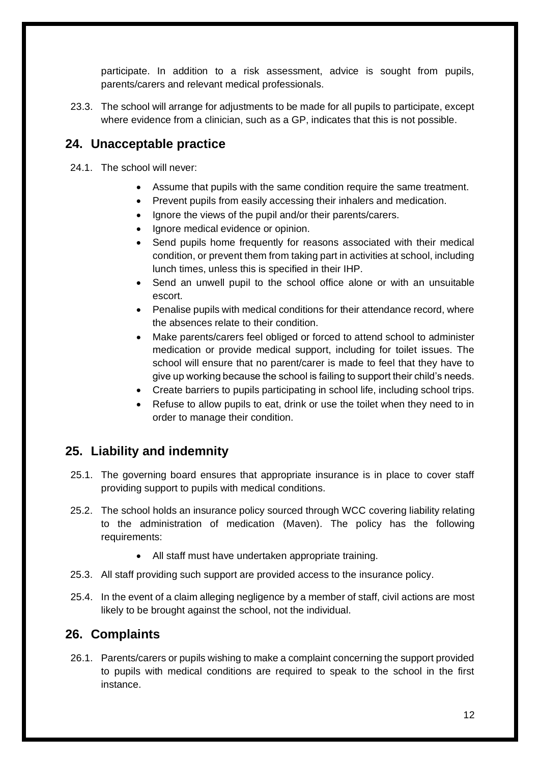participate. In addition to a risk assessment, advice is sought from pupils, parents/carers and relevant medical professionals.

23.3. The school will arrange for adjustments to be made for all pupils to participate, except where evidence from a clinician, such as a GP, indicates that this is not possible.

## <span id="page-12-0"></span>**24. Unacceptable practice**

24.1. The school will never:

- Assume that pupils with the same condition require the same treatment.
- Prevent pupils from easily accessing their inhalers and medication.
- Ignore the views of the pupil and/or their parents/carers.
- Ignore medical evidence or opinion.
- Send pupils home frequently for reasons associated with their medical condition, or prevent them from taking part in activities at school, including lunch times, unless this is specified in their IHP.
- Send an unwell pupil to the school office alone or with an unsuitable escort.
- Penalise pupils with medical conditions for their attendance record, where the absences relate to their condition.
- Make parents/carers feel obliged or forced to attend school to administer medication or provide medical support, including for toilet issues. The school will ensure that no parent/carer is made to feel that they have to give up working because the school is failing to support their child's needs.
- Create barriers to pupils participating in school life, including school trips.
- Refuse to allow pupils to eat, drink or use the toilet when they need to in order to manage their condition.

## <span id="page-12-1"></span>**25. Liability and indemnity**

- 25.1. The governing board ensures that appropriate insurance is in place to cover staff providing support to pupils with medical conditions.
- 25.2. The school holds an insurance policy sourced through WCC covering liability relating to the administration of medication (Maven). The policy has the following requirements:
	- All staff must have undertaken appropriate training.
- 25.3. All staff providing such support are provided access to the insurance policy.
- 25.4. In the event of a claim alleging negligence by a member of staff, civil actions are most likely to be brought against the school, not the individual.

## <span id="page-12-2"></span>**26. Complaints**

26.1. Parents/carers or pupils wishing to make a complaint concerning the support provided to pupils with medical conditions are required to speak to the school in the first instance.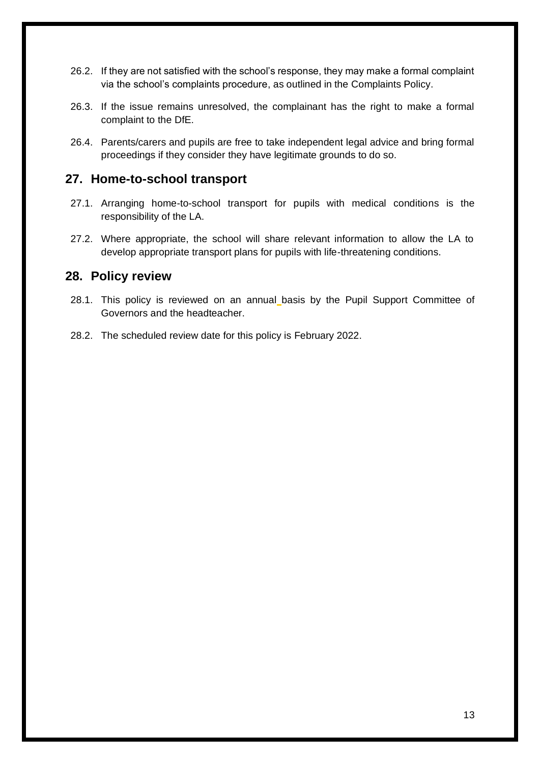- 26.2. If they are not satisfied with the school's response, they may make a formal complaint via the school's complaints procedure, as outlined in the Complaints Policy.
- 26.3. If the issue remains unresolved, the complainant has the right to make a formal complaint to the DfE.
- 26.4. Parents/carers and pupils are free to take independent legal advice and bring formal proceedings if they consider they have legitimate grounds to do so.

#### <span id="page-13-0"></span>**27. Home-to-school transport**

- 27.1. Arranging home-to-school transport for pupils with medical conditions is the responsibility of the LA.
- 27.2. Where appropriate, the school will share relevant information to allow the LA to develop appropriate transport plans for pupils with life-threatening conditions.

#### <span id="page-13-1"></span>**28. Policy review**

- 28.1. This policy is reviewed on an annual basis by the Pupil Support Committee of Governors and the headteacher.
- 28.2. The scheduled review date for this policy is February 2022.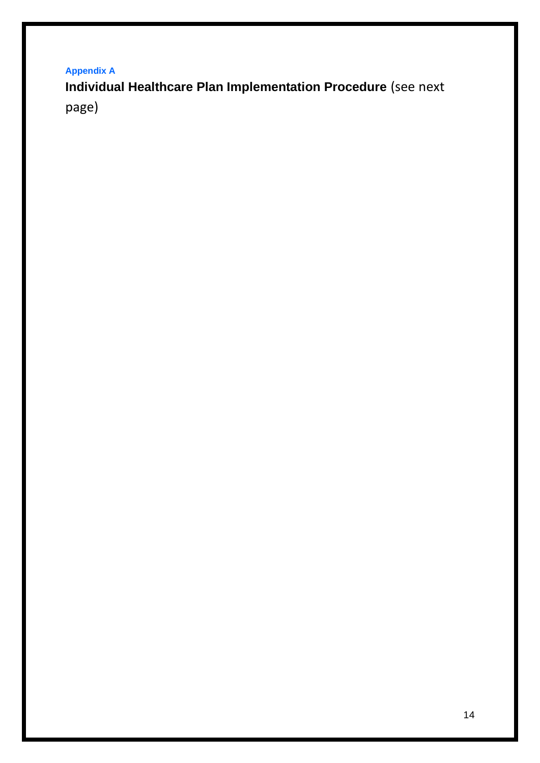**Appendix A**

**Individual Healthcare Plan Implementation Procedure** (see next page)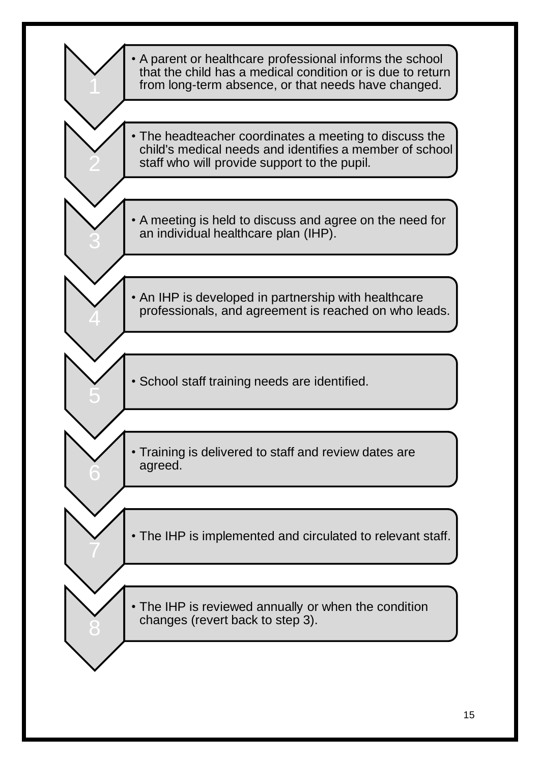<span id="page-15-0"></span>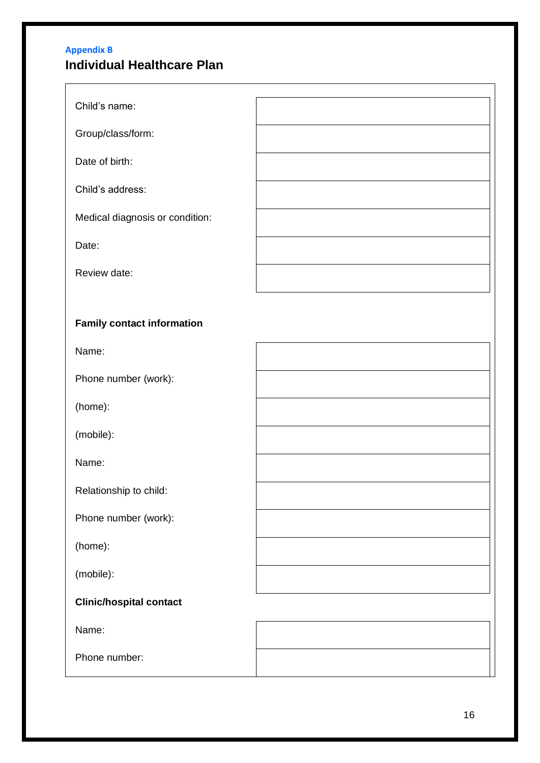## <span id="page-16-0"></span>**Appendix B Individual Healthcare Plan**

| Child's name:                     |  |
|-----------------------------------|--|
| Group/class/form:                 |  |
| Date of birth:                    |  |
| Child's address:                  |  |
| Medical diagnosis or condition:   |  |
| Date:                             |  |
| Review date:                      |  |
|                                   |  |
| <b>Family contact information</b> |  |
| Name:                             |  |
| Phone number (work):              |  |
| (home):                           |  |
| (mobile):                         |  |
| Name:                             |  |
| Relationship to child:            |  |
| Phone number (work):              |  |
| (home):                           |  |
| (mobile):                         |  |
| <b>Clinic/hospital contact</b>    |  |
| Name:                             |  |
| Phone number:                     |  |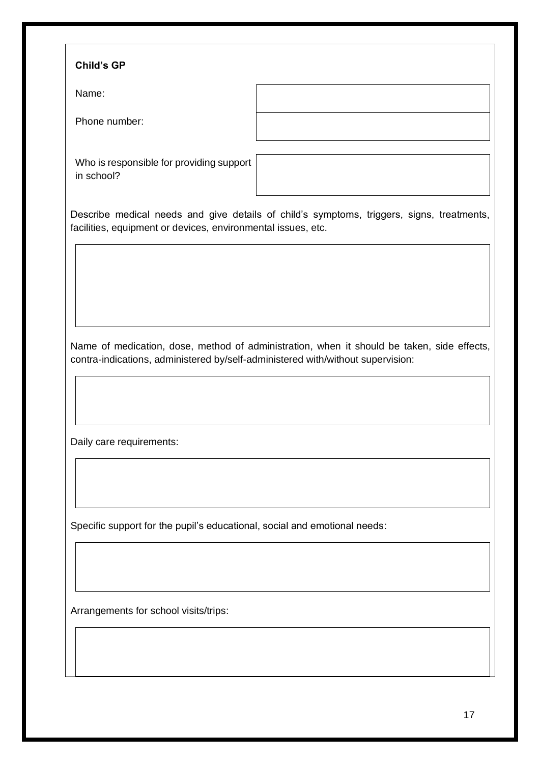#### **Child's GP**

Name:

Phone number:

Who is responsible for providing support in school?

Describe medical needs and give details of child's symptoms, triggers, signs, treatments, facilities, equipment or devices, environmental issues, etc.

Name of medication, dose, method of administration, when it should be taken, side effects, contra-indications, administered by/self-administered with/without supervision:

Daily care requirements:

Specific support for the pupil's educational, social and emotional needs:

Arrangements for school visits/trips: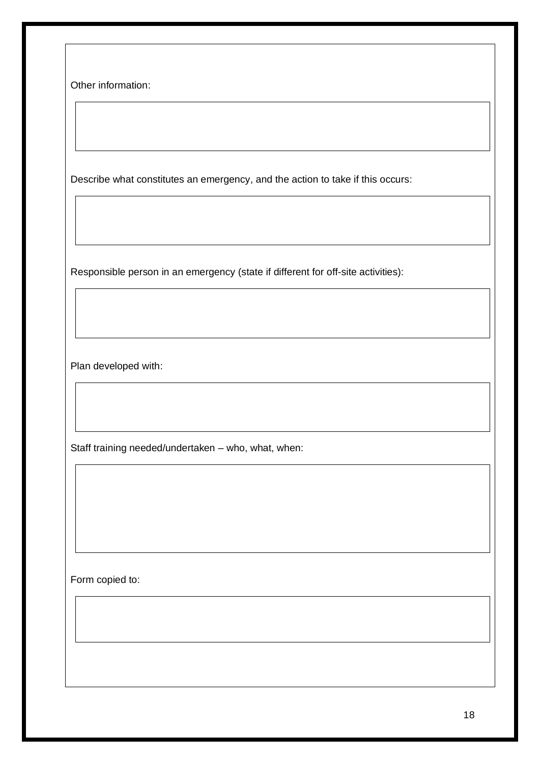Other information:

Describe what constitutes an emergency, and the action to take if this occurs:

Responsible person in an emergency (state if different for off-site activities):

Plan developed with:

Staff training needed/undertaken – who, what, when:

Form copied to: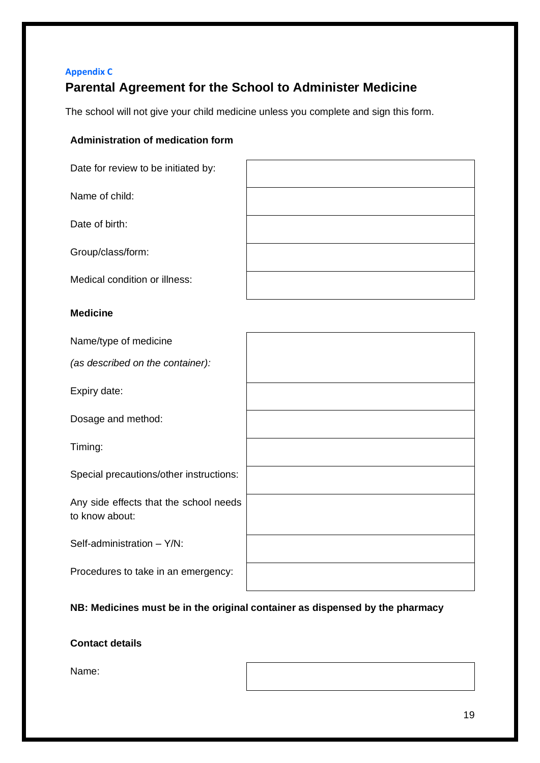## <span id="page-19-0"></span>**Appendix C Parental Agreement for the School to Administer Medicine**

The school will not give your child medicine unless you complete and sign this form.

#### **Administration of medication form**

| Date for review to be initiated by:                      |  |
|----------------------------------------------------------|--|
| Name of child:                                           |  |
| Date of birth:                                           |  |
| Group/class/form:                                        |  |
| Medical condition or illness:                            |  |
| <b>Medicine</b>                                          |  |
| Name/type of medicine                                    |  |
| (as described on the container):                         |  |
| Expiry date:                                             |  |
| Dosage and method:                                       |  |
| Timing:                                                  |  |
| Special precautions/other instructions:                  |  |
| Any side effects that the school needs<br>to know about: |  |
| Self-administration - Y/N:                               |  |
| Procedures to take in an emergency:                      |  |

#### **NB: Medicines must be in the original container as dispensed by the pharmacy**

#### **Contact details**

Name: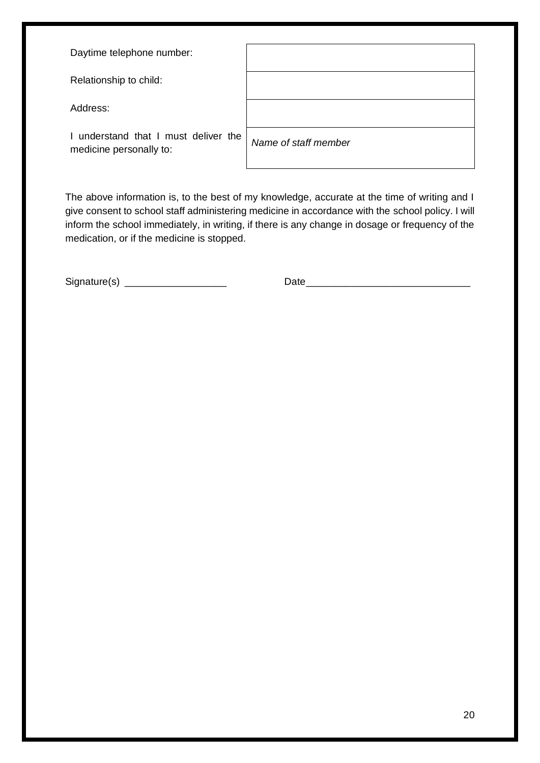Daytime telephone number:

Relationship to child:

Address:

I understand that I must deliver the medicine personally to:

| Name of staff member |
|----------------------|
|                      |
|                      |

The above information is, to the best of my knowledge, accurate at the time of writing and I give consent to school staff administering medicine in accordance with the school policy. I will inform the school immediately, in writing, if there is any change in dosage or frequency of the medication, or if the medicine is stopped.

<span id="page-20-0"></span>

| Signature(s) |  |
|--------------|--|
|              |  |
|              |  |

 $Date$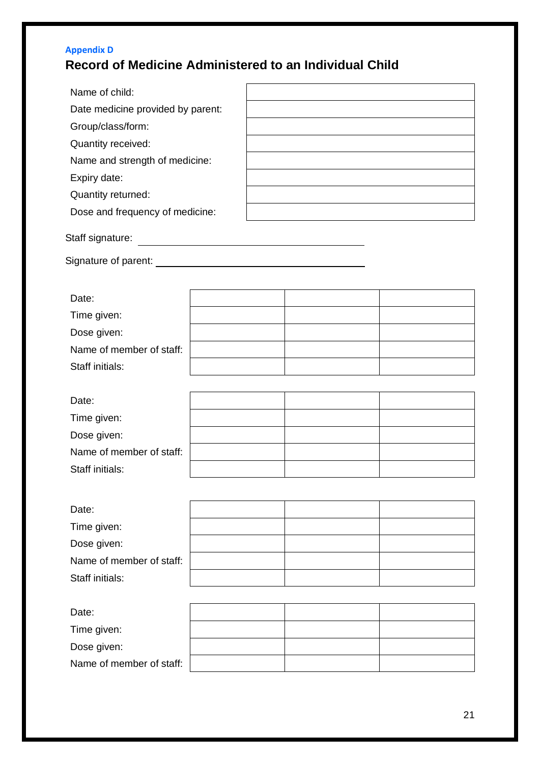## **Appendix D Record of Medicine Administered to an Individual Child**

| Name of child:                    |  |
|-----------------------------------|--|
| Date medicine provided by parent: |  |
| Group/class/form:                 |  |
| Quantity received:                |  |
| Name and strength of medicine:    |  |
| Expiry date:                      |  |
| Quantity returned:                |  |
| Dose and frequency of medicine:   |  |
|                                   |  |

Staff signature:

Signature of parent:

| Date:                    |  |  |
|--------------------------|--|--|
| Time given:              |  |  |
| Dose given:              |  |  |
| Name of member of staff: |  |  |
| Staff initials:          |  |  |

| Date:                    |  |  |
|--------------------------|--|--|
| Time given:              |  |  |
| Dose given:              |  |  |
| Name of member of staff: |  |  |
| Staff initials:          |  |  |
|                          |  |  |

| Date:                    |  |  |
|--------------------------|--|--|
| Time given:              |  |  |
| Dose given:              |  |  |
| Name of member of staff: |  |  |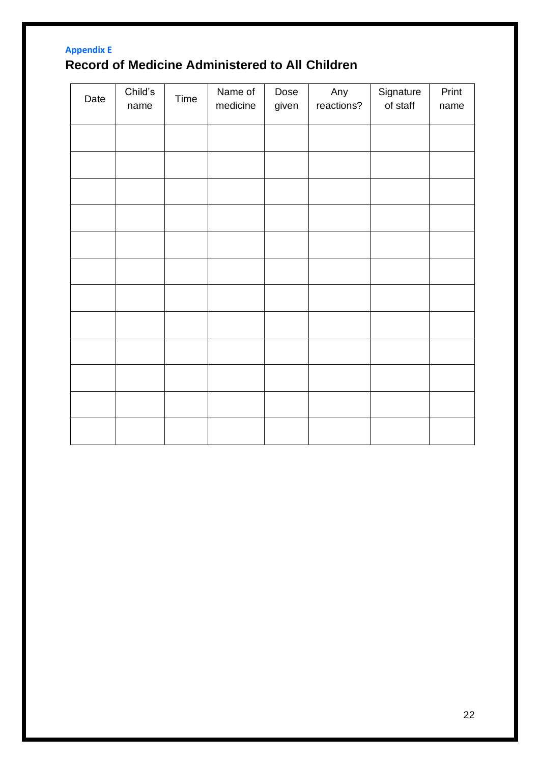## <span id="page-22-0"></span>**Appendix E Record of Medicine Administered to All Children**

| Date | Child's<br>name | Time | Name of<br>medicine | Dose<br>given | Any<br>reactions? | Signature<br>of staff | Print<br>name |
|------|-----------------|------|---------------------|---------------|-------------------|-----------------------|---------------|
|      |                 |      |                     |               |                   |                       |               |
|      |                 |      |                     |               |                   |                       |               |
|      |                 |      |                     |               |                   |                       |               |
|      |                 |      |                     |               |                   |                       |               |
|      |                 |      |                     |               |                   |                       |               |
|      |                 |      |                     |               |                   |                       |               |
|      |                 |      |                     |               |                   |                       |               |
|      |                 |      |                     |               |                   |                       |               |
|      |                 |      |                     |               |                   |                       |               |
|      |                 |      |                     |               |                   |                       |               |
|      |                 |      |                     |               |                   |                       |               |
|      |                 |      |                     |               |                   |                       |               |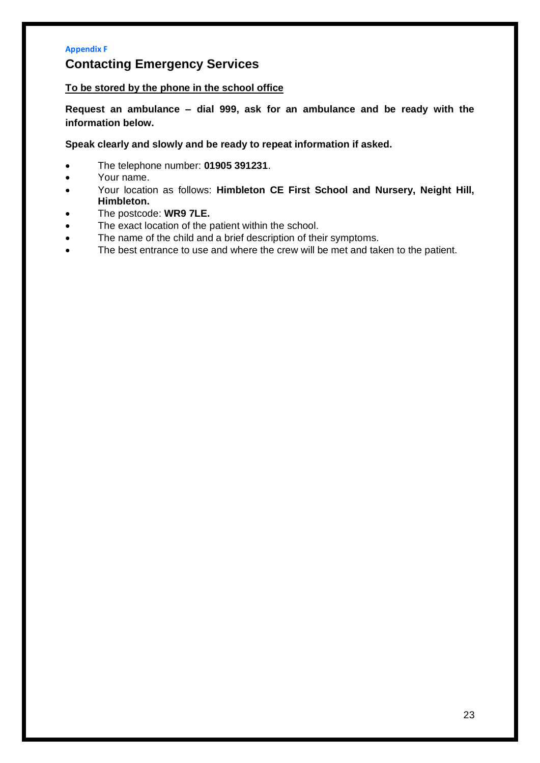#### <span id="page-23-0"></span>**Appendix F**

## **Contacting Emergency Services**

#### **To be stored by the phone in the school office**

**Request an ambulance – dial 999, ask for an ambulance and be ready with the information below.**

**Speak clearly and slowly and be ready to repeat information if asked.**

- The telephone number: **01905 391231**.
- Your name.
- Your location as follows: **Himbleton CE First School and Nursery, Neight Hill, Himbleton.**
- The postcode: **WR9 7LE.**
- The exact location of the patient within the school.
- The name of the child and a brief description of their symptoms.
- The best entrance to use and where the crew will be met and taken to the patient.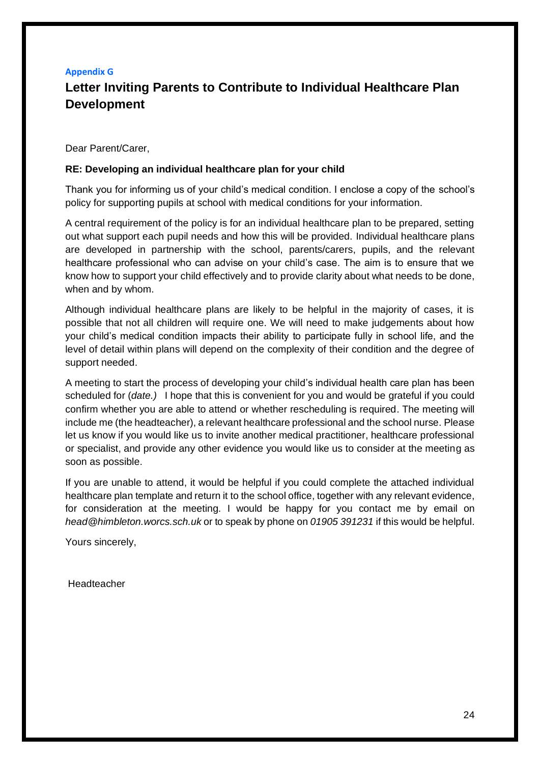## <span id="page-24-0"></span>**Appendix G Letter Inviting Parents to Contribute to Individual Healthcare Plan Development**

Dear Parent/Carer,

#### **RE: Developing an individual healthcare plan for your child**

Thank you for informing us of your child's medical condition. I enclose a copy of the school's policy for supporting pupils at school with medical conditions for your information.

A central requirement of the policy is for an individual healthcare plan to be prepared, setting out what support each pupil needs and how this will be provided. Individual healthcare plans are developed in partnership with the school, parents/carers, pupils, and the relevant healthcare professional who can advise on your child's case. The aim is to ensure that we know how to support your child effectively and to provide clarity about what needs to be done, when and by whom.

Although individual healthcare plans are likely to be helpful in the majority of cases, it is possible that not all children will require one. We will need to make judgements about how your child's medical condition impacts their ability to participate fully in school life, and the level of detail within plans will depend on the complexity of their condition and the degree of support needed.

A meeting to start the process of developing your child's individual health care plan has been scheduled for (*date.)* I hope that this is convenient for you and would be grateful if you could confirm whether you are able to attend or whether rescheduling is required. The meeting will include me (the headteacher), a relevant healthcare professional and the school nurse. Please let us know if you would like us to invite another medical practitioner, healthcare professional or specialist, and provide any other evidence you would like us to consider at the meeting as soon as possible.

If you are unable to attend, it would be helpful if you could complete the attached individual healthcare plan template and return it to the school office, together with any relevant evidence, for consideration at the meeting. I would be happy for you contact me by email on *head@himbleton.worcs.sch.uk* or to speak by phone on *01905 391231* if this would be helpful.

Yours sincerely,

Headteacher